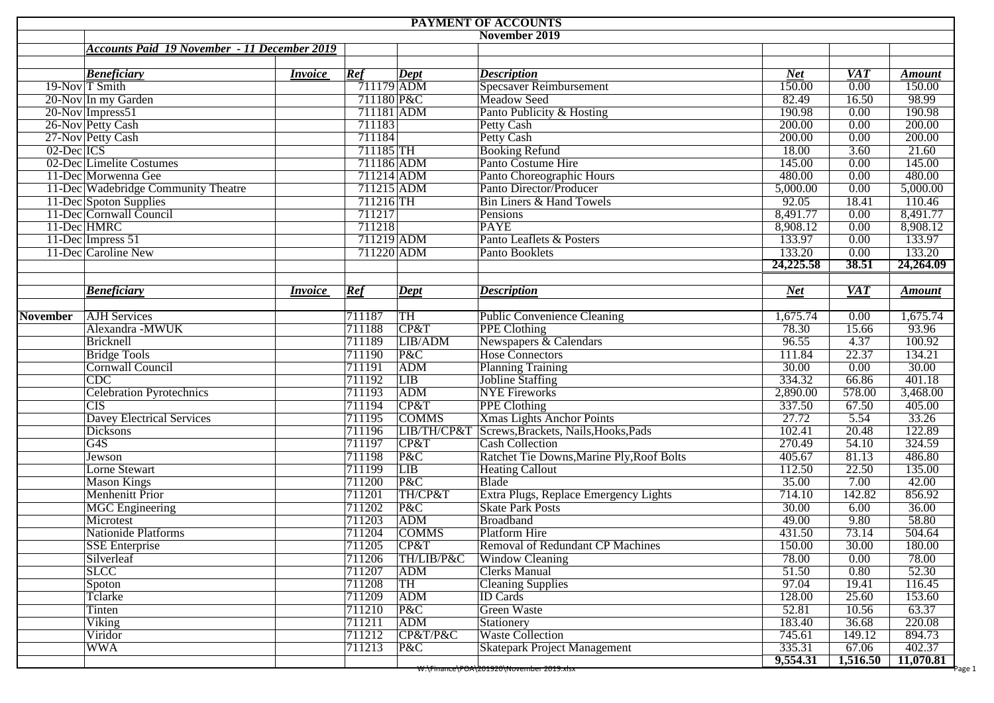|                 |                                                     |                |                  |                 | <b>PAYMENT OF ACCOUNTS</b>                                     |                  |                 |                  |  |  |  |  |  |
|-----------------|-----------------------------------------------------|----------------|------------------|-----------------|----------------------------------------------------------------|------------------|-----------------|------------------|--|--|--|--|--|
| November 2019   |                                                     |                |                  |                 |                                                                |                  |                 |                  |  |  |  |  |  |
|                 | <b>Accounts Paid 19 November - 11 December 2019</b> |                |                  |                 |                                                                |                  |                 |                  |  |  |  |  |  |
|                 |                                                     |                |                  |                 |                                                                |                  |                 |                  |  |  |  |  |  |
|                 | <b>Beneficiary</b>                                  | <i>Invoice</i> | Ref              | Dept            | <b>Description</b>                                             | <b>Net</b>       | <b>VAT</b>      | <b>Amount</b>    |  |  |  |  |  |
|                 | 19-Nov T Smith                                      |                | $711179$ ADM     |                 | <b>Specsaver Reimbursement</b>                                 | 150.00           | 0.00            | 150.00           |  |  |  |  |  |
|                 | 20-Nov In my Garden                                 |                | 711180 P&C       |                 | Meadow Seed                                                    | 82.49            | 16.50           | 98.99            |  |  |  |  |  |
|                 | 20-Nov Impress51                                    |                | 711181 ADM       |                 | Panto Publicity & Hosting                                      | 190.98           | 0.00            | 190.98           |  |  |  |  |  |
|                 | 26-Nov Petty Cash                                   |                | 711183           |                 | <b>Petty Cash</b>                                              | 200.00           | 0.00            | 200.00           |  |  |  |  |  |
|                 | 27-Nov Petty Cash                                   |                | 711184           |                 | Petty Cash                                                     | 200.00           | 0.00            | 200.00           |  |  |  |  |  |
| 02-Dec ICS      |                                                     |                | 711185 TH        |                 | <b>Booking Refund</b>                                          | 18.00            | 3.60            | 21.60            |  |  |  |  |  |
|                 | 02-Dec Limelite Costumes                            |                | 711186 ADM       |                 | Panto Costume Hire                                             | 145.00           | 0.00            | 145.00           |  |  |  |  |  |
|                 | 11-Dec Morwenna Gee                                 |                | 711214 ADM       |                 | Panto Choreographic Hours<br>Panto Director/Producer           | 480.00           | 0.00            | 480.00           |  |  |  |  |  |
|                 | 11-Dec Wadebridge Community Theatre                 |                | $711215$ ADM     |                 |                                                                | 5,000.00         | 0.00            | 5,000.00         |  |  |  |  |  |
|                 | 11-Dec Spoton Supplies                              |                | 711216 TH        |                 | <b>Bin Liners &amp; Hand Towels</b>                            | 92.05            | 18.41           | 110.46           |  |  |  |  |  |
|                 | 11-Dec Cornwall Council                             |                | 711217           |                 | Pensions                                                       | 8,491.77         | 0.00            | 8,491.77         |  |  |  |  |  |
|                 | 11-Dec HMRC                                         |                | 711218           |                 | <b>PAYE</b>                                                    | 8,908.12         | 0.00            | 8,908.12         |  |  |  |  |  |
|                 | 11-Dec Impress 51                                   |                | 711219 ADM       |                 | Panto Leaflets & Posters                                       | 133.97<br>133.20 | 0.00            | 133.97<br>133.20 |  |  |  |  |  |
|                 | 11-Dec Caroline New                                 |                | 711220 ADM       |                 | Panto Booklets                                                 | 24,225.58        | 0.00<br>38.51   | 24,264.09        |  |  |  |  |  |
|                 |                                                     |                |                  |                 |                                                                |                  |                 |                  |  |  |  |  |  |
|                 | <b>Beneficiary</b>                                  | <i>Invoice</i> |                  |                 |                                                                | <b>Net</b>       | <b>VAT</b>      |                  |  |  |  |  |  |
|                 |                                                     |                | Ref              | Dept            | <b>Description</b>                                             |                  |                 | <b>Amount</b>    |  |  |  |  |  |
| <b>November</b> | <b>AJH</b> Services                                 |                | 711187           | TH              | Public Convenience Cleaning                                    | 1,675.74         | 0.00            | 1,675.74         |  |  |  |  |  |
|                 | Alexandra -MWUK                                     |                | 711188           | CP&T            | <b>PPE Clothing</b>                                            | 78.30            | 15.66           | 93.96            |  |  |  |  |  |
|                 | Bricknell                                           |                | 711189           | LIB/ADM         | Newspapers & Calendars                                         | 96.55            | 4.37            | 100.92           |  |  |  |  |  |
|                 | <b>Bridge Tools</b>                                 |                | 711190           | P&C             | <b>Hose Connectors</b>                                         | 111.84           | 22.37           | 134.21           |  |  |  |  |  |
|                 | Cornwall Council                                    |                | 711191           | <b>ADM</b>      | <b>Planning Training</b>                                       | 30.00            | 0.00            | 30.00            |  |  |  |  |  |
|                 | $\overline{CDC}$                                    |                | 711192           | LIB             | <b>Jobline Staffing</b>                                        | 334.32           | 66.86           | 401.18           |  |  |  |  |  |
|                 | <b>Celebration Pyrotechnics</b>                     |                | 711193           | <b>ADM</b>      | <b>NYE</b> Fireworks                                           | 2,890.00         | 578.00          | 3,468.00         |  |  |  |  |  |
|                 | CIS                                                 |                | 711194           | CP&T            | <b>PPE Clothing</b>                                            | 337.50           | 67.50           | 405.00           |  |  |  |  |  |
|                 | <b>Davey Electrical Services</b>                    |                | 711195           | <b>COMMS</b>    | Xmas Lights Anchor Points                                      | 27.72            | 5.54            | 33.26            |  |  |  |  |  |
|                 | Dicksons                                            |                | 711196           |                 | LIB/TH/CP&T Screws, Brackets, Nails, Hooks, Pads               | 102.41           | 20.48           | 122.89           |  |  |  |  |  |
|                 | G <sub>4</sub> S                                    |                | 711197           | CP&T            | <b>Cash Collection</b>                                         | 270.49           | 54.10           | 324.59           |  |  |  |  |  |
|                 | <b>Jewson</b>                                       |                | 711198           | P&C             | Ratchet Tie Downs, Marine Ply, Roof Bolts                      | 405.67           | 81.13           | 486.80           |  |  |  |  |  |
|                 | <b>Lorne Stewart</b>                                |                | 711199           | LIB             | <b>Heating Callout</b>                                         | 112.50           | 22.50           | 135.00           |  |  |  |  |  |
|                 |                                                     |                |                  | P&C             | Blade                                                          | 35.00            | 7.00            | 42.00            |  |  |  |  |  |
|                 |                                                     |                |                  |                 |                                                                |                  |                 | 856.92           |  |  |  |  |  |
|                 | <b>Mason Kings</b>                                  |                | 711200           |                 |                                                                |                  |                 |                  |  |  |  |  |  |
|                 | <b>Menhenitt Prior</b>                              |                | 711201           | TH/CP&T         | Extra Plugs, Replace Emergency Lights                          | 714.10           | 142.82          |                  |  |  |  |  |  |
|                 | <b>MGC</b> Engineering                              |                | 711202           | P&C             | <b>Skate Park Posts</b>                                        | 30.00            | 6.00            | 36.00            |  |  |  |  |  |
|                 | Microtest                                           |                | 711203           | ADM             | Broadband                                                      | 49.00            | 9.80            | 58.80            |  |  |  |  |  |
|                 | <b>Nationide Platforms</b>                          |                | 711204           | <b>COMMS</b>    | Platform Hire                                                  | 431.50           | 73.14           | 504.64           |  |  |  |  |  |
|                 | <b>SSE Enterprise</b>                               |                | 711205           | CF&T            | Removal of Redundant CP Machines                               | 150.00           | 30.00           | 180.00           |  |  |  |  |  |
|                 | Silverleaf                                          |                | 711206           | TH/LIB/P&C      | <b>Window Cleaning</b>                                         | 78.00            | 0.00            | 78.00            |  |  |  |  |  |
|                 | <b>SLCC</b>                                         |                | 711207           | <b>ADM</b>      | <b>Clerks Manual</b>                                           | 51.50            | 0.80            | 52.30            |  |  |  |  |  |
|                 | Spoton                                              |                | 711208           | <b>TH</b>       | <b>Cleaning Supplies</b>                                       | 97.04            | 19.41           | 116.45           |  |  |  |  |  |
|                 | Tclarke                                             |                | 711209           | <b>ADM</b>      | <b>ID</b> Cards                                                | 128.00           | 25.60           | 153.60           |  |  |  |  |  |
|                 | Tinten                                              |                | 711210           | P&C             | <b>Green Waste</b>                                             | 52.81            | 10.56           | 63.37            |  |  |  |  |  |
|                 | Viking                                              |                | 711211           | <b>ADM</b>      | Stationery                                                     | 183.40           | 36.68           | 220.08           |  |  |  |  |  |
|                 | Viridor<br><b>WWA</b>                               |                | 711212<br>711213 | CP&T/P&C<br>P&C | <b>Waste Collection</b><br><b>Skatepark Project Management</b> | 745.61<br>335.31 | 149.12<br>67.06 | 894.73<br>402.37 |  |  |  |  |  |